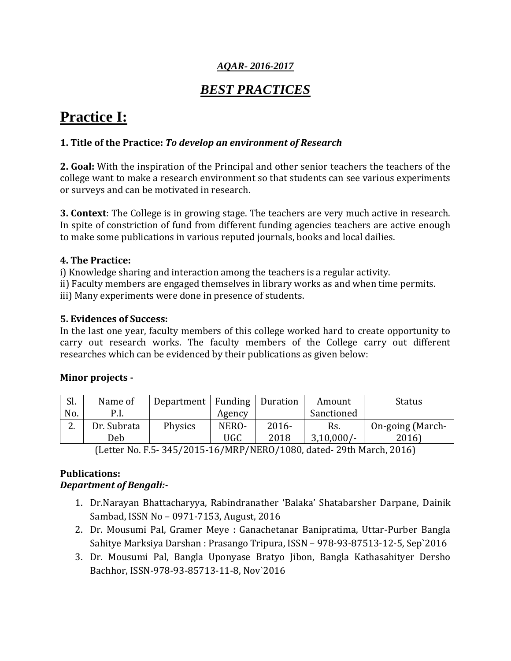## *AQAR- 2016-2017*

## *BEST PRACTICES*

# **Practice I:**

## **1. Title of the Practice:** *To develop an environment of Research*

**2. Goal:** With the inspiration of the Principal and other senior teachers the teachers of the college want to make a research environment so that students can see various experiments or surveys and can be motivated in research.

**3. Context**: The College is in growing stage. The teachers are very much active in research. In spite of constriction of fund from different funding agencies teachers are active enough to make some publications in various reputed journals, books and local dailies.

## **4. The Practice:**

i) Knowledge sharing and interaction among the teachers is a regular activity.

ii) Faculty members are engaged themselves in library works as and when time permits. iii) Many experiments were done in presence of students.

**5. Evidences of Success:**

In the last one year, faculty members of this college worked hard to create opportunity to carry out research works. The faculty members of the College carry out different researches which can be evidenced by their publications as given below:

## **Minor projects -**

| No.<br>Sanctioned<br>P.I.<br>Agency                                                        |  |
|--------------------------------------------------------------------------------------------|--|
|                                                                                            |  |
| $\sqrt{2}$<br>Dr. Subrata<br>Physics<br>$2016 -$<br>NERO-<br>On-going (March-<br>Rs.<br>Ζ. |  |
| $3,10,000/-$<br>2018<br>2016)<br>UGC<br>Deb                                                |  |

(Letter No. F.5- 345/2015-16/MRP/NERO/1080, dated- 29th March, 2016)

## **Publications:**

## *Department of Bengali:-*

- 1. Dr.Narayan Bhattacharyya, Rabindranather 'Balaka' Shatabarsher Darpane, Dainik Sambad, ISSN No – 0971-7153, August, 2016
- 2. Dr. Mousumi Pal, Gramer Meye : Ganachetanar Banipratima, Uttar-Purber Bangla Sahitye Marksiya Darshan : Prasango Tripura, ISSN – 978-93-87513-12-5, Sep`2016
- 3. Dr. Mousumi Pal, Bangla Uponyase Bratyo Jibon, Bangla Kathasahityer Dersho Bachhor, ISSN-978-93-85713-11-8, Nov`2016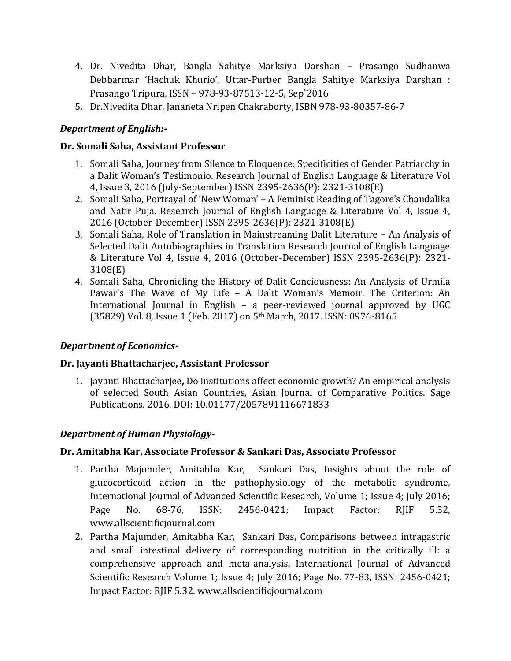- 4. Dr. Nivedita Dhar, Bangla Sahitye Marksiya Darshan Prasango Sudhanwa Debbarmar 'Hachuk Khurio', Uttar-Purber Bangla Sahitye Marksiya Darshan : Prasango Tripura, ISSN – 978-93-87513-12-5, Sep`2016
- 5. Dr.Nivedita Dhar, Jananeta Nripen Chakraborty, ISBN 978-93-80357-86-7

## *Department of English:-*

## **Dr. Somali Saha, Assistant Professor**

- 1. Somali Saha, Journey from Silence to Eloquence: Specificities of Gender Patriarchy in a Dalit Woman's Teslimonio. Research Journal of English Language & Literature Vol 4, Issue 3, 2016 (July-September) ISSN 2395-2636(P): 2321-3108(E)
- 2. Somali Saha, Portrayal of 'New Woman' A Feminist Reading of Tagore's Chandalika and Natir Puja. Research Journal of English Language & Literature Vol 4, Issue 4, 2016 (October-December) ISSN 2395-2636(P): 2321-3108(E)
- 3. Somali Saha, Role of Translation in Mainstreaming Dalit Literature An Analysis of Selected Dalit Autobiographies in Translation Research Journal of English Language & Literature Vol 4, Issue 4, 2016 (October-December) ISSN 2395-2636(P): 2321- 3108(E)
- 4. Somali Saha, Chronicling the History of Dalit Conciousness: An Analysis of Urmila Pawar's The Wave of My Life – A Dalit Woman's Memoir. The Criterion: An International Journal in English – a peer-reviewed journal approved by UGC (35829) Vol. 8, Issue 1 (Feb. 2017) on 5th March, 2017. ISSN: 0976-8165

## *Department of Economics-*

## **Dr. Jayanti Bhattacharjee, Assistant Professor**

1. Jayanti Bhattacharjee**,** Do institutions affect economic growth? An empirical analysis of selected South Asian Countries, Asian Journal of Comparative Politics. Sage Publications. 2016. DOI: 10.01177/2057891116671833

## *Department of Human Physiology-*

## **Dr. Amitabha Kar, Associate Professor & Sankari Das, Associate Professor**

- 1. Partha Majumder, Amitabha Kar, Sankari Das, Insights about the role of glucocorticoid action in the pathophysiology of the metabolic syndrome, International Journal of Advanced Scientific Research, Volume 1; Issue 4; July 2016; Page No. 68-76, ISSN: 2456-0421; Impact Factor: RJIF 5.32, www.allscientificjournal.com
- 2. Partha Majumder, Amitabha Kar, Sankari Das, Comparisons between intragastric and small intestinal delivery of corresponding nutrition in the critically ill: a comprehensive approach and meta-analysis, International Journal of Advanced Scientific Research Volume 1; Issue 4; July 2016; Page No. 77-83, ISSN: 2456-0421; Impact Factor: RJIF 5.32. www.allscientificjournal.com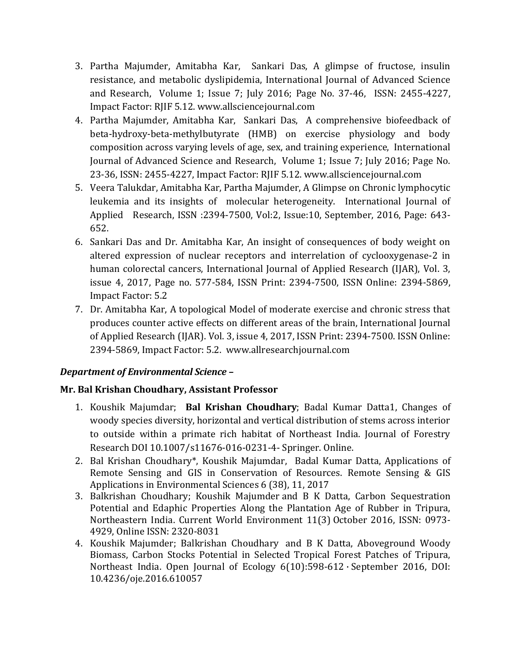- 3. Partha Majumder, Amitabha Kar, Sankari Das, A glimpse of fructose, insulin resistance, and metabolic dyslipidemia, International Journal of Advanced Science and Research, Volume 1; Issue 7; July 2016; Page No. 37-46, ISSN: 2455-4227, Impact Factor: RJIF 5.12. www.allsciencejournal.com
- 4. Partha Majumder, Amitabha Kar, Sankari Das, A comprehensive biofeedback of beta-hydroxy-beta-methylbutyrate (HMB) on exercise physiology and body composition across varying levels of age, sex, and training experience, International Journal of Advanced Science and Research, Volume 1; Issue 7; July 2016; Page No. 23-36, ISSN: 2455-4227, Impact Factor: RJIF 5.12. www.allsciencejournal.com
- 5. Veera Talukdar, Amitabha Kar, Partha Majumder, A Glimpse on Chronic lymphocytic leukemia and its insights of molecular heterogeneity. International Journal of Applied Research, ISSN :2394-7500, Vol:2, Issue:10, September, 2016, Page: 643- 652.
- 6. Sankari Das and Dr. Amitabha Kar, An insight of consequences of body weight on altered expression of nuclear receptors and interrelation of cyclooxygenase-2 in human colorectal cancers, International Journal of Applied Research (IJAR), Vol. 3, issue 4, 2017, Page no. 577-584, ISSN Print: 2394-7500, ISSN Online: 2394-5869, Impact Factor: 5.2
- 7. Dr. Amitabha Kar, A topological Model of moderate exercise and chronic stress that produces counter active effects on different areas of the brain, International Journal of Applied Research (IJAR). Vol. 3, issue 4, 2017, ISSN Print: 2394-7500. ISSN Online: 2394-5869, Impact Factor: 5.2. www.allresearchjournal.com

## *Department of Environmental Science –*

## **Mr. Bal Krishan Choudhary, Assistant Professor**

- 1. Koushik Majumdar; **Bal Krishan Choudhary**; Badal Kumar Datta1, Changes of woody species diversity, horizontal and vertical distribution of stems across interior to outside within a primate rich habitat of Northeast India. Journal of Forestry Research DOI 10.1007/s11676-016-0231-4- Springer. Online.
- 2. Bal Krishan Choudhary\*, Koushik Majumdar, Badal Kumar Datta, Applications of Remote Sensing and GIS in Conservation of Resources. Remote Sensing & GIS Applications in Environmental Sciences 6 (38), 11, 2017
- 3. [Balkrishan Choudhary;](https://www.researchgate.net/profile/Balkrishan_Choudhary) [Koushik Majumder](https://www.researchgate.net/researcher/2117944364_Koushik_Majumder) and [B K Datta,](https://www.researchgate.net/profile/Bk_Datta) [Carbon Sequestration](https://www.researchgate.net/publication/310045679_Carbon_Sequestration_Potential_and_Edaphic_Properties_Along_the_Plantation_Age_of_Rubber_in_Tripura_Northeastern_India?ev=prf_pub)  [Potential and Edaphic Properties Along the Plantation Age of Rubber in Tripura,](https://www.researchgate.net/publication/310045679_Carbon_Sequestration_Potential_and_Edaphic_Properties_Along_the_Plantation_Age_of_Rubber_in_Tripura_Northeastern_India?ev=prf_pub)  [Northeastern India.](https://www.researchgate.net/publication/310045679_Carbon_Sequestration_Potential_and_Edaphic_Properties_Along_the_Plantation_Age_of_Rubber_in_Tripura_Northeastern_India?ev=prf_pub) Current World Environment 11(3) October 2016, ISSN: 0973- 4929, Online ISSN: 2320-8031
- 4. [Koushik Majumder;](https://www.researchgate.net/researcher/2117944364_Koushik_Majumder) [Balkrishan Choudhary](https://www.researchgate.net/profile/Balkrishan_Choudhary) and [B K Datta,](https://www.researchgate.net/profile/Bk_Datta) Aboveground Woody Biomass, Carbon Stocks Potential in Selected Tropical Forest Patches of Tripura, Northeast India. Open Journal of Ecology 6(10):598-612 · September 2016, DOI: 10.4236/oje.2016.610057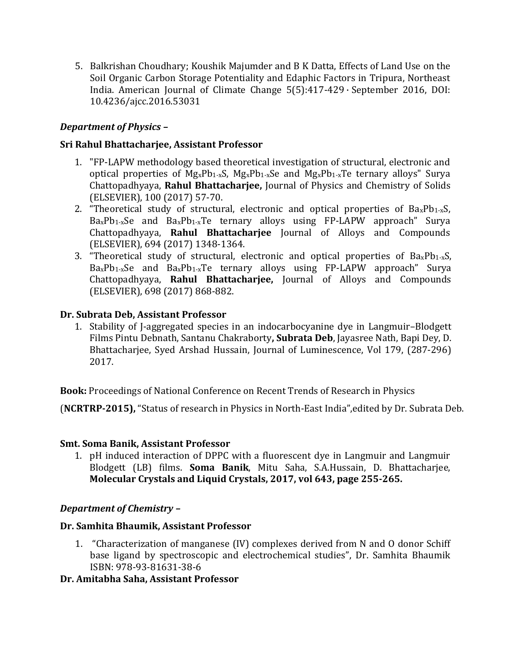5. [Balkrishan Choudhary;](https://www.researchgate.net/profile/Balkrishan_Choudhary) [Koushik Majumder](https://www.researchgate.net/researcher/2117944364_Koushik_Majumder) and [B K Datta,](https://www.researchgate.net/profile/Bk_Datta) Effects of Land Use on the Soil Organic Carbon Storage Potentiality and Edaphic Factors in Tripura, Northeast India. American Journal of Climate Change 5(5):417-429 · September 2016, DOI: 10.4236/ajcc.2016.53031

## *Department of Physics –*

## **Sri Rahul Bhattacharjee, Assistant Professor**

- 1. "FP-LAPW methodology based theoretical investigation of structural, electronic and optical properties of MgxPb1-xS, MgxPb1-xSe and MgxPb1-xTe ternary alloys" Surya Chattopadhyaya, **Rahul Bhattacharjee,** Journal of Physics and Chemistry of Solids (ELSEVIER), 100 (2017) 57-70.
- 2. "Theoretical study of structural, electronic and optical properties of  $Ba_xPb_1-xS$ ,  $Ba_xPb_1_xSe$  and  $Ba_xPb_1_xTe$  ternary alloys using FP-LAPW approach" Surya Chattopadhyaya, **Rahul Bhattacharjee** Journal of Alloys and Compounds (ELSEVIER), 694 (2017) 1348-1364.
- 3. "Theoretical study of structural, electronic and optical properties of  $Ba_xPb_1-xS$ ,  $Ba_xPb_1_xSe$  and  $Ba_xPb_1_xTe$  ternary alloys using FP-LAPW approach" Surya Chattopadhyaya, **Rahul Bhattacharjee,** Journal of Alloys and Compounds (ELSEVIER), 698 (2017) 868-882.

## **Dr. Subrata Deb, Assistant Professor**

1. Stability of J-aggregated species in an indocarbocyanine dye in Langmuir–Blodgett Films Pintu Debnath, Santanu Chakraborty**, Subrata Deb**, Jayasree Nath, Bapi Dey, D. Bhattacharjee, Syed Arshad Hussain, Journal of Luminescence, Vol 179, (287-296) 2017.

**Book:** Proceedings of National Conference on Recent Trends of Research in Physics

(**NCRTRP-2015),** "Status of research in Physics in North-East India",edited by Dr. Subrata Deb.

## **Smt. Soma Banik, Assistant Professor**

1. pH induced interaction of DPPC with a fluorescent dye in Langmuir and Langmuir Blodgett (LB) films. **Soma Banik**, Mitu Saha, S.A.Hussain, D. Bhattacharjee, **Molecular Crystals and Liquid Crystals, 2017, vol 643, page 255-265.**

## *Department of Chemistry –*

## **Dr. Samhita Bhaumik, Assistant Professor**

1. "Characterization of manganese (IV) complexes derived from N and O donor Schiff base ligand by spectroscopic and electrochemical studies", Dr. Samhita Bhaumik ISBN: 978-93-81631-38-6

## **Dr. Amitabha Saha, Assistant Professor**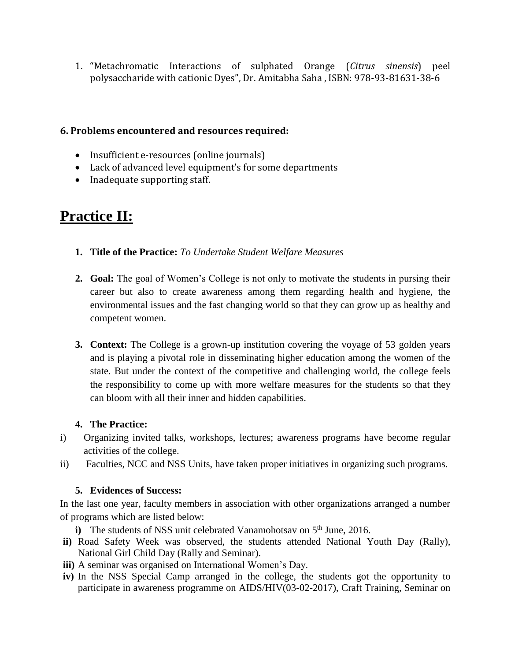1. "Metachromatic Interactions of sulphated Orange (*Citrus sinensis*) peel polysaccharide with cationic Dyes", Dr. Amitabha Saha , ISBN: 978-93-81631-38-6

## **6. Problems encountered and resources required:**

- Insufficient e-resources (online journals)
- Lack of advanced level equipment's for some departments
- Inadequate supporting staff.

# **Practice II:**

- **1. Title of the Practice:** *To Undertake Student Welfare Measures*
- **2. Goal:** The goal of Women's College is not only to motivate the students in pursing their career but also to create awareness among them regarding health and hygiene, the environmental issues and the fast changing world so that they can grow up as healthy and competent women.
- **3. Context:** The College is a grown-up institution covering the voyage of 53 golden years and is playing a pivotal role in disseminating higher education among the women of the state. But under the context of the competitive and challenging world, the college feels the responsibility to come up with more welfare measures for the students so that they can bloom with all their inner and hidden capabilities.

## **4. The Practice:**

- i) Organizing invited talks, workshops, lectures; awareness programs have become regular activities of the college.
- ii) Faculties, NCC and NSS Units, have taken proper initiatives in organizing such programs.

## **5. Evidences of Success:**

In the last one year, faculty members in association with other organizations arranged a number of programs which are listed below:

- **i**) The students of NSS unit celebrated Vanamohotsay on  $5<sup>th</sup>$  June, 2016.
- **ii)** Road Safety Week was observed, the students attended National Youth Day (Rally), National Girl Child Day (Rally and Seminar).
- **iii)** A seminar was organised on International Women's Day.
- **iv)** In the NSS Special Camp arranged in the college, the students got the opportunity to participate in awareness programme on AIDS/HIV(03-02-2017), Craft Training, Seminar on